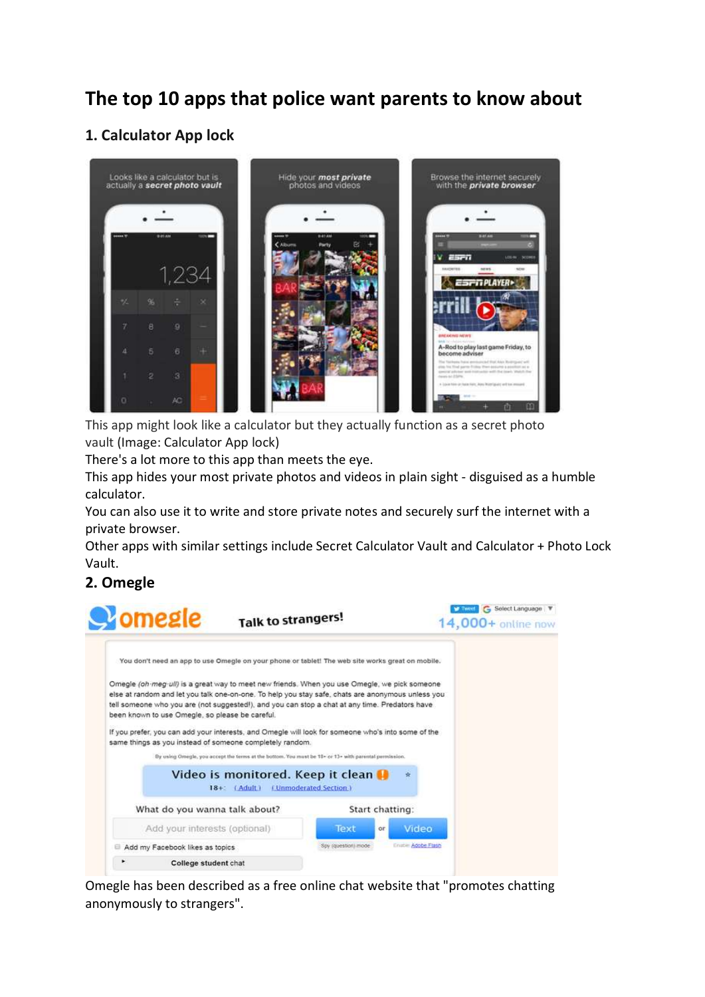# **The top 10 apps that police want parents to know about**

## **1. Calculator App lock**



This app might look like a calculator but they actually function as a secret photo vault (Image: Calculator App lock)

There's a lot more to this app than meets the eye.

This app hides your most private photos and videos in plain sight - disguised as a humble calculator.

You can also use it to write and store private notes and securely surf the internet with a private browser.

Other apps with similar settings include Secret Calculator Vault and Calculator + Photo Lock Vault.

## **2. Omegle**



Omegle has been described as a free online chat website that "promotes chatting anonymously to strangers".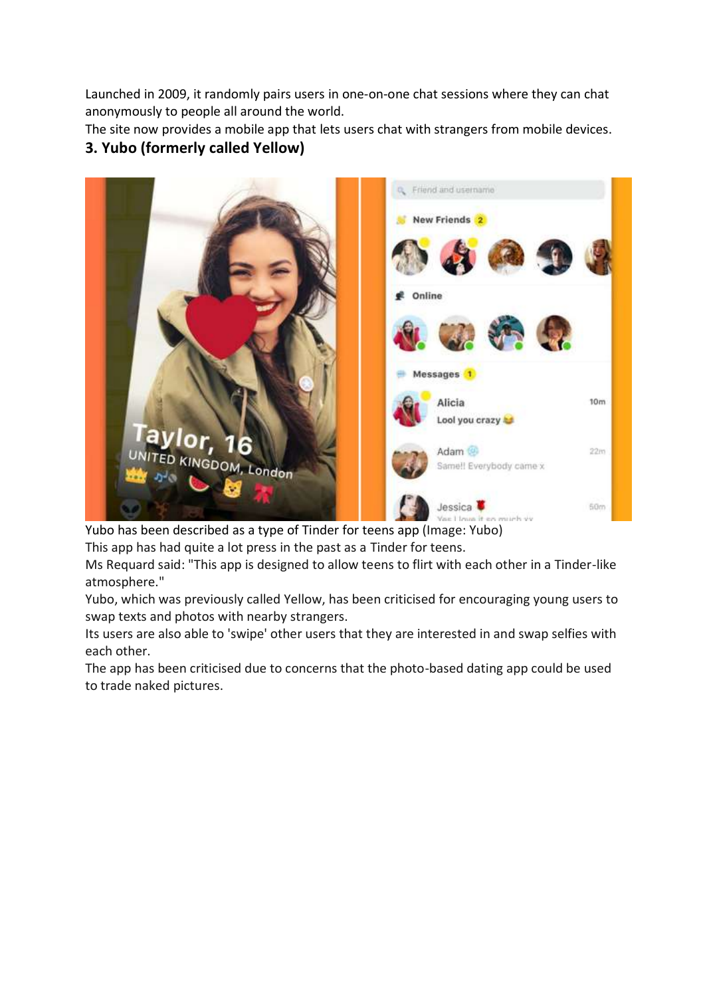Launched in 2009, it randomly pairs users in one-on-one chat sessions where they can chat anonymously to people all around the world.

The site now provides a mobile app that lets users chat with strangers from mobile devices.

## **3. Yubo (formerly called Yellow)**



Yubo has been described as a type of Tinder for teens app (Image: Yubo)

This app has had quite a lot press in the past as a Tinder for teens.

Ms Requard said: "This app is designed to allow teens to flirt with each other in a Tinder-like atmosphere."

Yubo, which was previously called Yellow, has been criticised for encouraging young users to swap texts and photos with nearby strangers.

Its users are also able to 'swipe' other users that they are interested in and swap selfies with each other.

The app has been criticised due to concerns that the photo-based dating app could be used to trade naked pictures.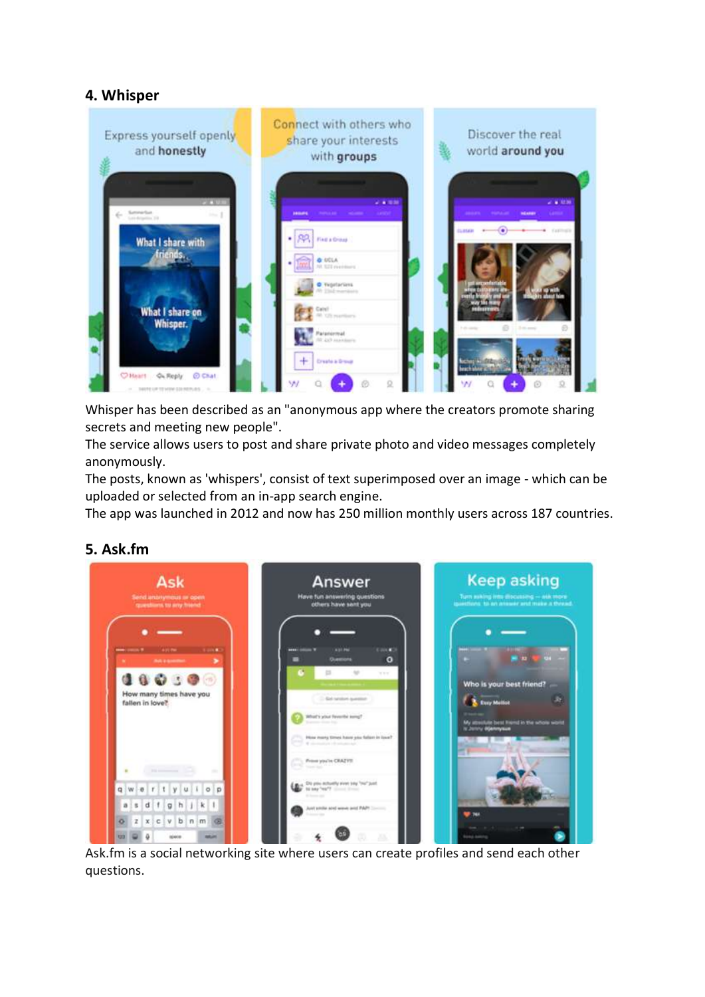### **4. Whisper**



Whisper has been described as an "anonymous app where the creators promote sharing secrets and meeting new people".

The service allows users to post and share private photo and video messages completely anonymously.

The posts, known as 'whispers', consist of text superimposed over an image - which can be uploaded or selected from an in-app search engine.

The app was launched in 2012 and now has 250 million monthly users across 187 countries.

#### **5. Ask.fm**



Ask.fm is a social networking site where users can create profiles and send each other questions.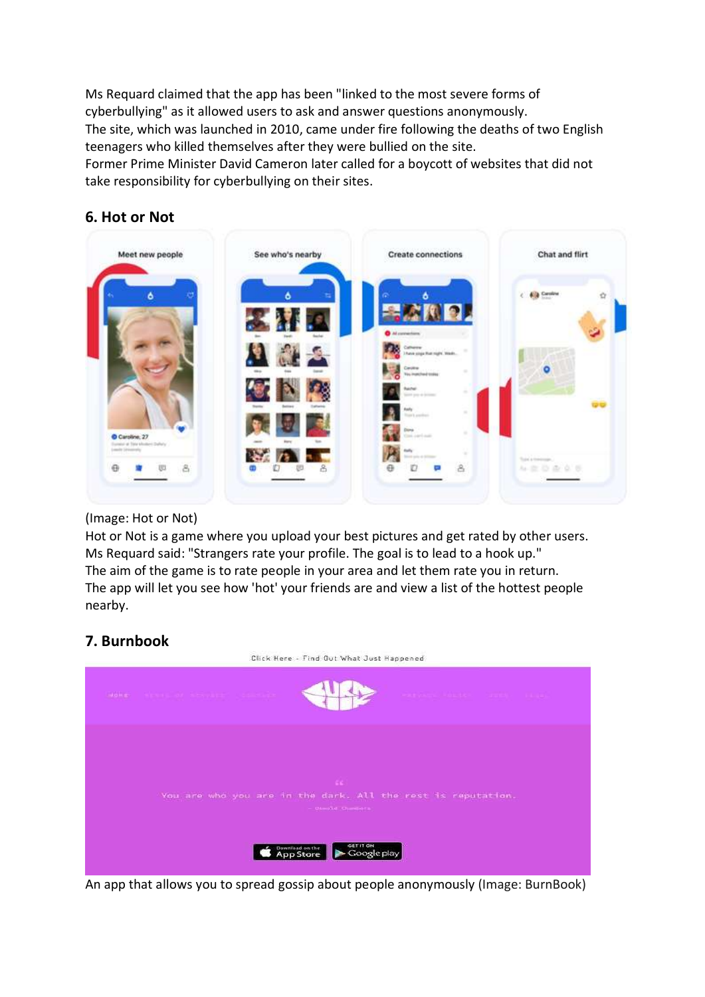Ms Requard claimed that the app has been "linked to the most severe forms of cyberbullying" as it allowed users to ask and answer questions anonymously. The site, which was launched in 2010, came under fire following the deaths of two English teenagers who killed themselves after they were bullied on the site.

Former Prime Minister David Cameron later called for a boycott of websites that did not take responsibility for cyberbullying on their sites.

#### **6. Hot or Not**



#### (Image: Hot or Not)

Hot or Not is a game where you upload your best pictures and get rated by other users. Ms Requard said: "Strangers rate your profile. The goal is to lead to a hook up." The aim of the game is to rate people in your area and let them rate you in return. The app will let you see how 'hot' your friends are and view a list of the hottest people nearby.

#### **7. Burnbook**



An app that allows you to spread gossip about people anonymously (Image: BurnBook)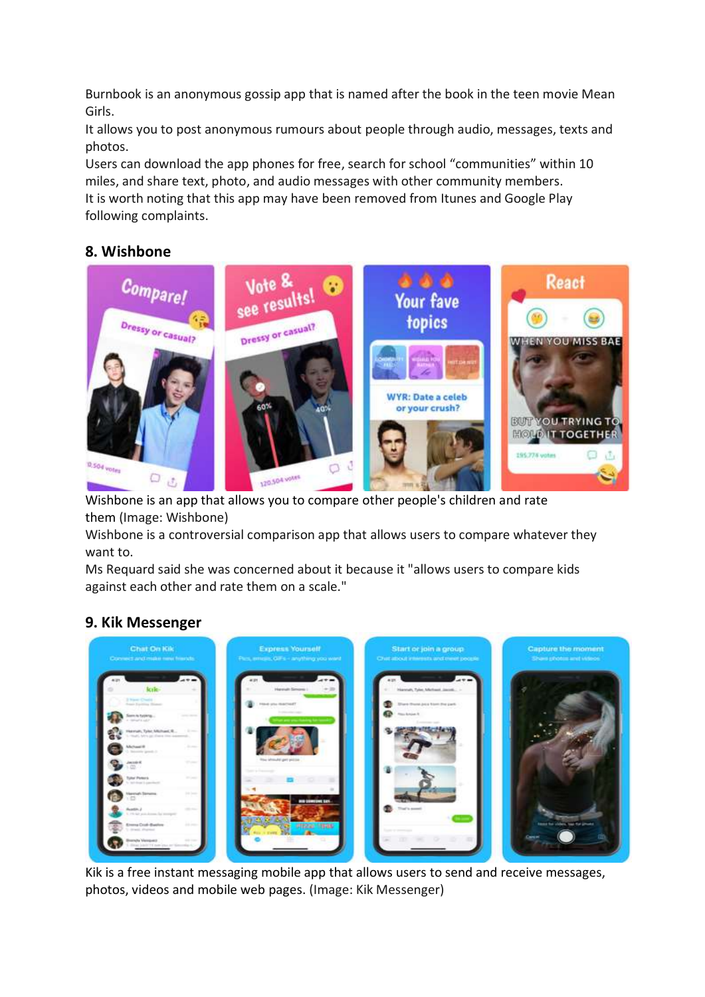Burnbook is an anonymous gossip app that is named after the book in the teen movie Mean Girls.

It allows you to post anonymous rumours about people through audio, messages, texts and photos.

Users can download the app phones for free, search for school "communities" within 10 miles, and share text, photo, and audio messages with other community members. It is worth noting that this app may have been removed from Itunes and Google Play following complaints.

## **8. Wishbone**



Wishbone is an app that allows you to compare other people's children and rate them (Image: Wishbone)

Wishbone is a controversial comparison app that allows users to compare whatever they want to.

Ms Requard said she was concerned about it because it "allows users to compare kids against each other and rate them on a scale."

## **9. Kik Messenger**



Kik is a free instant messaging mobile app that allows users to send and receive messages, photos, videos and mobile web pages. (Image: Kik Messenger)